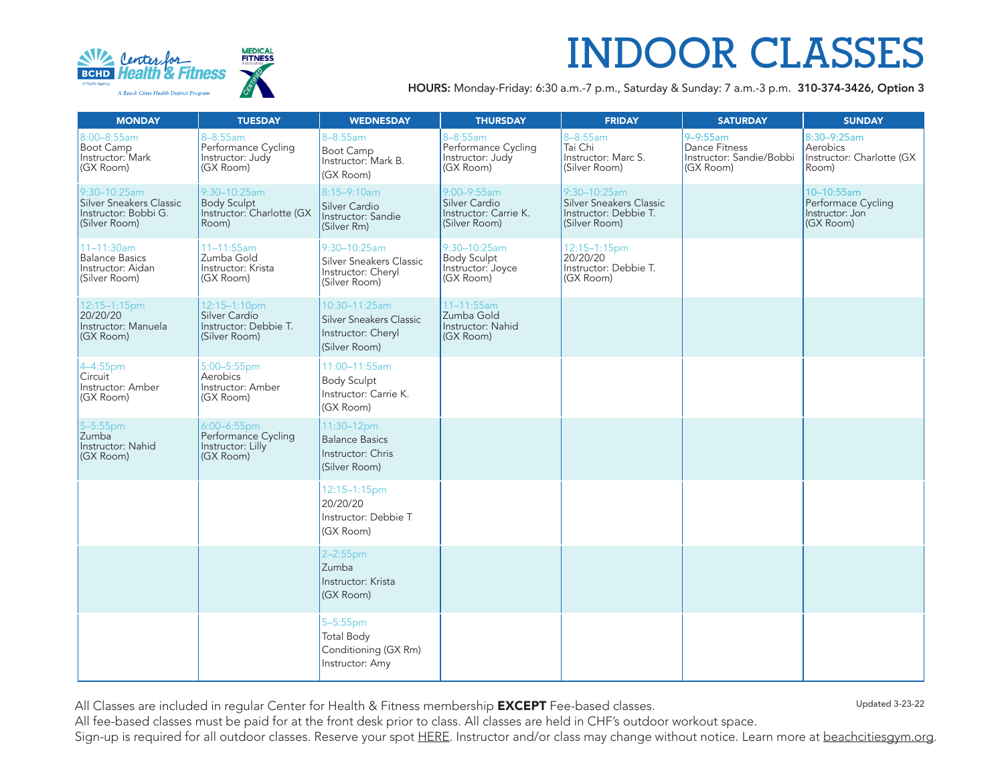

## **INDOOR CLASSES**

HOURS: Monday-Friday: 6:30 a.m.-7 p.m., Saturday & Sunday: 7 a.m.-3 p.m. 310-374-3426, Option 3

| <b>MONDAY</b>                                                                    | <b>TUESDAY</b>                                                           | <b>WEDNESDAY</b>                                                                | <b>THURSDAY</b>                                                        | <b>FRIDAY</b>                                                                     | <b>SATURDAY</b>                                                                | <b>SUNDAY</b>                                                    |
|----------------------------------------------------------------------------------|--------------------------------------------------------------------------|---------------------------------------------------------------------------------|------------------------------------------------------------------------|-----------------------------------------------------------------------------------|--------------------------------------------------------------------------------|------------------------------------------------------------------|
| 8:00-8:55am<br>Boot Camp<br>Instructor: Mark<br>(GX Room)                        | 8-8:55am<br>Performance Cycling<br>Instructor: Judy<br>(GX Room)         | $8 - 8:55$ am<br>Boot Camp<br>Instructor: Mark B.<br>(GX Room)                  | $8 - 8:55$ am<br>Performance Cycling<br>Instructor: Judy<br>(GX Room)  | $8 - 8:55$ am<br>Tai Chi<br>Instructor: Marc S.<br>(Silver Room)                  | $9 - 9:55$ am<br><b>Dance Fitness</b><br>Instructor: Sandie/Bobbi<br>(GX Room) | 8:30-9:25am<br>Aerobics<br>Instructor: Charlotte (GX<br>Room)    |
| 9:30-10:25am<br>Silver Sneakers Classic<br>Instructor: Bobbi G.<br>(Silver Room) | 9:30-10:25am<br><b>Body Sculpt</b><br>Instructor: Charlotte (GX<br>Room) | 8:15-9:10am<br>Silver Cardio<br>Instructor: Sandie<br>(Silver Rm)               | 9:00-9:55am<br>Silver Cardio<br>Instructor: Carrie K.<br>(Silver Room) | 9:30-10:25am<br>Silver Sneakers Classic<br>Instructor: Debbie T.<br>(Silver Room) |                                                                                | 10-10:55am<br>Performace Cycling<br>Instructor: Jon<br>(GX Room) |
| 11-11:30am<br><b>Balance Basics</b><br>Instructor: Aidan<br>(Silver Room)        | 11-11:55am<br>Zumba Gold<br>Instructor: Krista<br>(GX Room)              | 9:30-10:25am<br>Silver Sneakers Classic<br>Instructor: Cheryl<br>(Silver Room)  | 9:30-10:25am<br><b>Body Sculpt</b><br>Instructor: Joyce<br>(GX Room)   | 12:15-1:15pm<br>20/20/20<br>Instructor: Debbie T.<br>(GX Room)                    |                                                                                |                                                                  |
| 12:15-1:15pm<br>20/20/20<br>Instructor: Manuela<br>(GX Room)                     | 12:15-1:10pm<br>Silver Cardio<br>Instructor: Debbie T.<br>(Silver Room)  | 10:30-11:25am<br>Silver Sneakers Classic<br>Instructor: Cheryl<br>(Silver Room) | 11-11:55am<br>Zumba Gold<br>Instructor: Nahid<br>(GX Room)             |                                                                                   |                                                                                |                                                                  |
| 4-4:55pm<br>Instructor: Amber<br>(GX Room)                                       | 5:00-5:55pm<br>Aerobics<br>Instructor: Amber<br>(GX Room)                | 11:00-11:55am<br><b>Body Sculpt</b><br>Instructor: Carrie K.<br>(GX Room)       |                                                                        |                                                                                   |                                                                                |                                                                  |
| $5 - 5:55$ pm<br>Instructor: Nahid<br>(GX Room)                                  | 6:00-6:55pm<br>Performance Cycling<br>Instructor: Lilly<br>(GX Room)     | 11:30-12pm<br><b>Balance Basics</b><br>Instructor: Chris<br>(Silver Room)       |                                                                        |                                                                                   |                                                                                |                                                                  |
|                                                                                  |                                                                          | 12:15-1:15pm<br>20/20/20<br>Instructor: Debbie T<br>(GX Room)                   |                                                                        |                                                                                   |                                                                                |                                                                  |
|                                                                                  |                                                                          | 2-2:55pm<br>Zumba<br>Instructor: Krista<br>(GX Room)                            |                                                                        |                                                                                   |                                                                                |                                                                  |
|                                                                                  |                                                                          | 5-5:55pm<br><b>Total Body</b><br>Conditioning (GX Rm)<br>Instructor: Amy        |                                                                        |                                                                                   |                                                                                |                                                                  |

All Classes are included in regular Center for Health & Fitness membership **EXCEPT** Fee-based classes.

Updated 3-23-22

All fee-based classes must be paid for at the front desk prior to class. All classes are held in CHF's outdoor workout space.

Sign-up is required for all outdoor classes. Reserve your spot [HERE.](https://clients.mindbodyonline.com/ASP/su1.asp?studioid=5719947&tg=&vt=&lvl=&stype=&view=&trn=0&page=&catid=&prodid=&date=4%2f20%2f2021&classid=0&prodGroupId=&sSU=&optForwardingLink=&qParam=&justloggedin=&nLgIn=&pMode=0&loc=1) Instructor and/or class may change without notice. Learn more at [beachcitiesgym.org.](https://beachcitiesgym.org/)